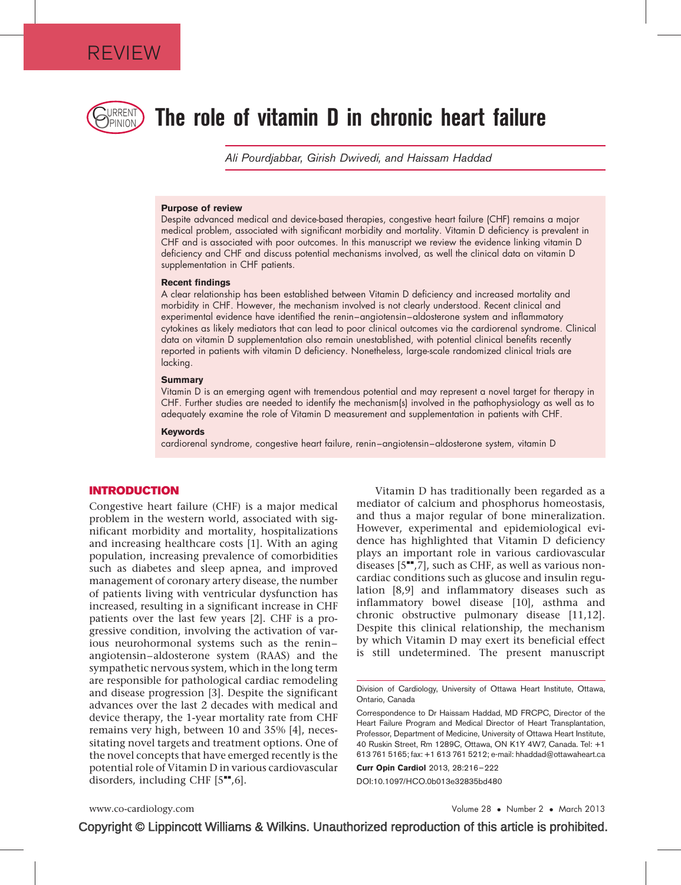

# The role of vitamin D in chronic heart failure

Ali Pourdjabbar, Girish Dwivedi, and Haissam Haddad

#### Purpose of review

Despite advanced medical and device-based therapies, congestive heart failure (CHF) remains a major medical problem, associated with significant morbidity and mortality. Vitamin D deficiency is prevalent in CHF and is associated with poor outcomes. In this manuscript we review the evidence linking vitamin D deficiency and CHF and discuss potential mechanisms involved, as well the clinical data on vitamin D supplementation in CHF patients.

#### Recent findings

A clear relationship has been established between Vitamin D deficiency and increased mortality and morbidity in CHF. However, the mechanism involved is not clearly understood. Recent clinical and experimental evidence have identified the renin–angiotensin–aldosterone system and inflammatory cytokines as likely mediators that can lead to poor clinical outcomes via the cardiorenal syndrome. Clinical data on vitamin D supplementation also remain unestablished, with potential clinical benefits recently reported in patients with vitamin D deficiency. Nonetheless, large-scale randomized clinical trials are lacking.

#### **Summary**

Vitamin D is an emerging agent with tremendous potential and may represent a novel target for therapy in CHF. Further studies are needed to identify the mechanism(s) involved in the pathophysiology as well as to adequately examine the role of Vitamin D measurement and supplementation in patients with CHF.

#### Keywords

cardiorenal syndrome, congestive heart failure, renin–angiotensin–aldosterone system, vitamin D

## INTRODUCTION

Congestive heart failure (CHF) is a major medical problem in the western world, associated with significant morbidity and mortality, hospitalizations and increasing healthcare costs [\[1\].](#page-5-0) With an aging population, increasing prevalence of comorbidities such as diabetes and sleep apnea, and improved management of coronary artery disease, the number of patients living with ventricular dysfunction has increased, resulting in a significant increase in CHF patients over the last few years [\[2\].](#page-5-0) CHF is a progressive condition, involving the activation of various neurohormonal systems such as the renin– angiotensin–aldosterone system (RAAS) and the sympathetic nervous system, which in the long term are responsible for pathological cardiac remodeling and disease progression [\[3\]](#page-5-0). Despite the significant advances over the last 2 decades with medical and device therapy, the 1-year mortality rate from CHF remains very high, between 10 and 35% [\[4\]](#page-5-0), necessitating novel targets and treatment options. One of the novel concepts that have emerged recently is the potential role of Vitamin D in various cardiovascular disorders, including CHF  $[5"$  $[5"$ [,6\]](#page-5-0).

Vitamin D has traditionally been regarded as a mediator of calcium and phosphorus homeostasis, and thus a major regular of bone mineralization. However, experimental and epidemiological evidence has highlighted that Vitamin D deficiency plays an important role in various cardiovascular diseases  $[5^{\bullet\bullet},7]$  $[5^{\bullet\bullet},7]$  $[5^{\bullet\bullet},7]$ , such as CHF, as well as various noncardiac conditions such as glucose and insulin regulation [\[8,9\]](#page-5-0) and inflammatory diseases such as inflammatory bowel disease [\[10\],](#page-5-0) asthma and chronic obstructive pulmonary disease [\[11,12\].](#page-5-0) Despite this clinical relationship, the mechanism by which Vitamin D may exert its beneficial effect is still undetermined. The present manuscript

Curr Opin Cardiol 2013, 28:216–222 DOI:10.1097/HCO.0b013e32835bd480

www.co-cardiology.com **Volume 28 • Number 2 • March 2013** 

Division of Cardiology, University of Ottawa Heart Institute, Ottawa, Ontario, Canada

Correspondence to Dr Haissam Haddad, MD FRCPC, Director of the Heart Failure Program and Medical Director of Heart Transplantation, Professor, Department of Medicine, University of Ottawa Heart Institute, 40 Ruskin Street, Rm 1289C, Ottawa, ON K1Y 4W7, Canada. Tel: +1 613 761 5165; fax: +1 613 761 5212; e-mail: [hhaddad@ottawaheart.ca](mailto:hhaddad@ottawaheart.ca)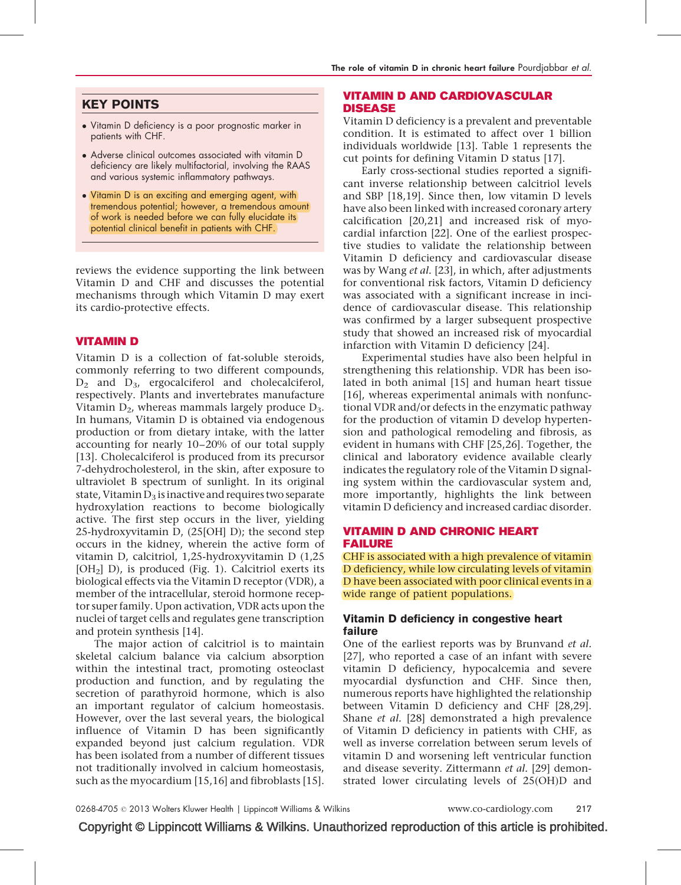# KEY POINTS

- Vitamin D deficiency is a poor prognostic marker in patients with CHF.
- Adverse clinical outcomes associated with vitamin D deficiency are likely multifactorial, involving the RAAS and various systemic inflammatory pathways.
- Vitamin D is an exciting and emerging agent, with tremendous potential; however, a tremendous amount of work is needed before we can fully elucidate its potential clinical benefit in patients with CHF.

reviews the evidence supporting the link between Vitamin D and CHF and discusses the potential mechanisms through which Vitamin D may exert its cardio-protective effects.

## VITAMIN D

Vitamin D is a collection of fat-soluble steroids, commonly referring to two different compounds,  $D_2$  and  $D_3$ , ergocalciferol and cholecalciferol, respectively. Plants and invertebrates manufacture Vitamin  $D_2$ , whereas mammals largely produce  $D_3$ . In humans, Vitamin D is obtained via endogenous production or from dietary intake, with the latter accounting for nearly 10–20% of our total supply [\[13\].](#page-5-0) Cholecalciferol is produced from its precursor 7-dehydrocholesterol, in the skin, after exposure to ultraviolet B spectrum of sunlight. In its original state, Vitamin  $D_3$  is inactive and requires two separate hydroxylation reactions to become biologically active. The first step occurs in the liver, yielding 25-hydroxyvitamin D, (25[OH] D); the second step occurs in the kidney, wherein the active form of vitamin D, calcitriol, 1,25-hydroxyvitamin D (1,25  $[OH<sub>2</sub>]$  D), is produced (Fig. 1). Calcitriol exerts its biological effects via the Vitamin D receptor (VDR), a member of the intracellular, steroid hormone receptor super family. Upon activation, VDR acts upon the nuclei of target cells and regulates gene transcription and protein synthesis [\[14\]](#page-5-0).

The major action of calcitriol is to maintain skeletal calcium balance via calcium absorption within the intestinal tract, promoting osteoclast production and function, and by regulating the secretion of parathyroid hormone, which is also an important regulator of calcium homeostasis. However, over the last several years, the biological influence of Vitamin D has been significantly expanded beyond just calcium regulation. VDR has been isolated from a number of different tissues not traditionally involved in calcium homeostasis, such as the myocardium [\[15,16\]](#page-5-0) and fibroblasts [\[15\]](#page-5-0).

## VITAMIN D AND CARDIOVASCULAR DISEASE

Vitamin D deficiency is a prevalent and preventable condition. It is estimated to affect over 1 billion individuals worldwide [\[13\].](#page-5-0) Table 1 represents the cut points for defining Vitamin D status [\[17\].](#page-5-0)

Early cross-sectional studies reported a significant inverse relationship between calcitriol levels and SBP [\[18,19\].](#page-5-0) Since then, low vitamin D levels have also been linked with increased coronary artery calcification [\[20,21\]](#page-5-0) and increased risk of myocardial infarction [\[22\]](#page-5-0). One of the earliest prospective studies to validate the relationship between Vitamin D deficiency and cardiovascular disease was by Wang et al. [\[23\],](#page-5-0) in which, after adjustments for conventional risk factors, Vitamin D deficiency was associated with a significant increase in incidence of cardiovascular disease. This relationship was confirmed by a larger subsequent prospective study that showed an increased risk of myocardial infarction with Vitamin D deficiency [\[24\].](#page-5-0)

Experimental studies have also been helpful in strengthening this relationship. VDR has been isolated in both animal [\[15\]](#page-5-0) and human heart tissue [\[16\],](#page-5-0) whereas experimental animals with nonfunctional VDR and/or defects in the enzymatic pathway for the production of vitamin D develop hypertension and pathological remodeling and fibrosis, as evident in humans with CHF [\[25,26\].](#page-5-0) Together, the clinical and laboratory evidence available clearly indicates the regulatory role of the Vitamin D signaling system within the cardiovascular system and, more importantly, highlights the link between vitamin D deficiency and increased cardiac disorder.

## VITAMIN D AND CHRONIC HEART FAILURE

CHF is associated with a high prevalence of vitamin D deficiency, while low circulating levels of vitamin D have been associated with poor clinical events in a wide range of patient populations.

## Vitamin D deficiency in congestive heart failure

One of the earliest reports was by Brunvand et al. [\[27\],](#page-5-0) who reported a case of an infant with severe vitamin D deficiency, hypocalcemia and severe myocardial dysfunction and CHF. Since then, numerous reports have highlighted the relationship between Vitamin D deficiency and CHF [\[28,29\]](#page-5-0). Shane et al. [\[28\]](#page-5-0) demonstrated a high prevalence of Vitamin D deficiency in patients with CHF, as well as inverse correlation between serum levels of vitamin D and worsening left ventricular function and disease severity. Zittermann et al. [\[29\]](#page-5-0) demonstrated lower circulating levels of 25(OH)D and

0268-4705 © 2013 Wolters Kluwer Health | Lippincott Williams & Wilkins www.co-cardiology.com 217

Copyright © Lippincott Williams & Wilkins. Unauthorized reproduction of this article is prohibited.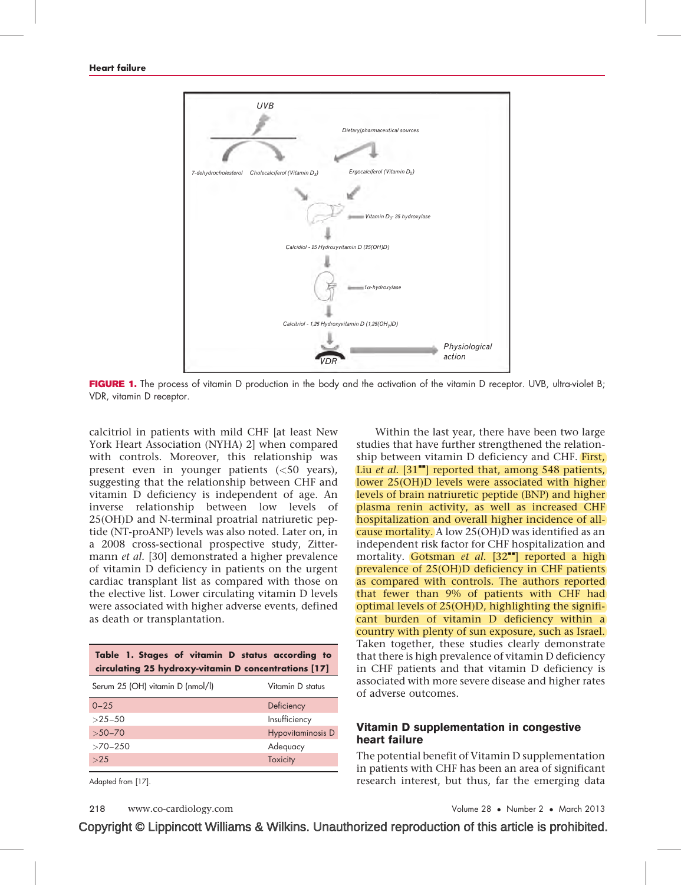

FIGURE 1. The process of vitamin D production in the body and the activation of the vitamin D receptor. UVB, ultra-violet B; VDR, vitamin D receptor.

calcitriol in patients with mild CHF [at least New York Heart Association (NYHA) 2] when compared with controls. Moreover, this relationship was present even in younger patients (<50 years), suggesting that the relationship between CHF and vitamin D deficiency is independent of age. An inverse relationship between low levels of 25(OH)D and N-terminal proatrial natriuretic peptide (NT-proANP) levels was also noted. Later on, in a 2008 cross-sectional prospective study, Zittermann et al. [\[30\]](#page-5-0) demonstrated a higher prevalence of vitamin D deficiency in patients on the urgent cardiac transplant list as compared with those on the elective list. Lower circulating vitamin D levels were associated with higher adverse events, defined as death or transplantation.

| Table 1. Stages of vitamin D status according to<br>circulating 25 hydroxy-vitamin D concentrations [17] |                          |
|----------------------------------------------------------------------------------------------------------|--------------------------|
| Serum 25 (OH) vitamin D (nmol/l)                                                                         | Vitamin D status         |
| $0 - 25$                                                                                                 | Deficiency               |
| $>25-50$                                                                                                 | Insufficiency            |
| $>50-70$                                                                                                 | <b>Hypovitaminosis D</b> |
| $>70-250$                                                                                                | Adequacy                 |
| >2.5                                                                                                     | <b>Toxicity</b>          |

Within the last year, there have been two large studies that have further strengthened the relationship between vitamin D deficiency and CHF. First, Liu et al.  $[31$ <sup> $\blacksquare$ </sup> reported that, among 548 patients, lower 25(OH)D levels were associated with higher levels of brain natriuretic peptide (BNP) and higher plasma renin activity, as well as increased CHF hospitalization and overall higher incidence of allcause mortality. A low 25(OH)D was identified as an independent risk factor for CHF hospitalization and mortality. Gotsman et al. [\[32](#page-5-0)<sup>th</sup>[\]](#page-5-0) reported a high prevalence of 25(OH)D deficiency in CHF patients as compared with controls. The authors reported that fewer than 9% of patients with CHF had optimal levels of 25(OH)D, highlighting the significant burden of vitamin D deficiency within a country with plenty of sun exposure, such as Israel. Taken together, these studies clearly demonstrate that there is high prevalence of vitamin D deficiency in CHF patients and that vitamin D deficiency is associated with more severe disease and higher rates of adverse outcomes.

## Vitamin D supplementation in congestive heart failure

The potential benefit of Vitamin D supplementation in patients with CHF has been an area of significant research interest, but thus, far the emerging data

Adapted from [\[17\]](#page-5-0).

218 www.co-cardiology.com **28 a March 2013** Volume 28 • Number 2 • March 2013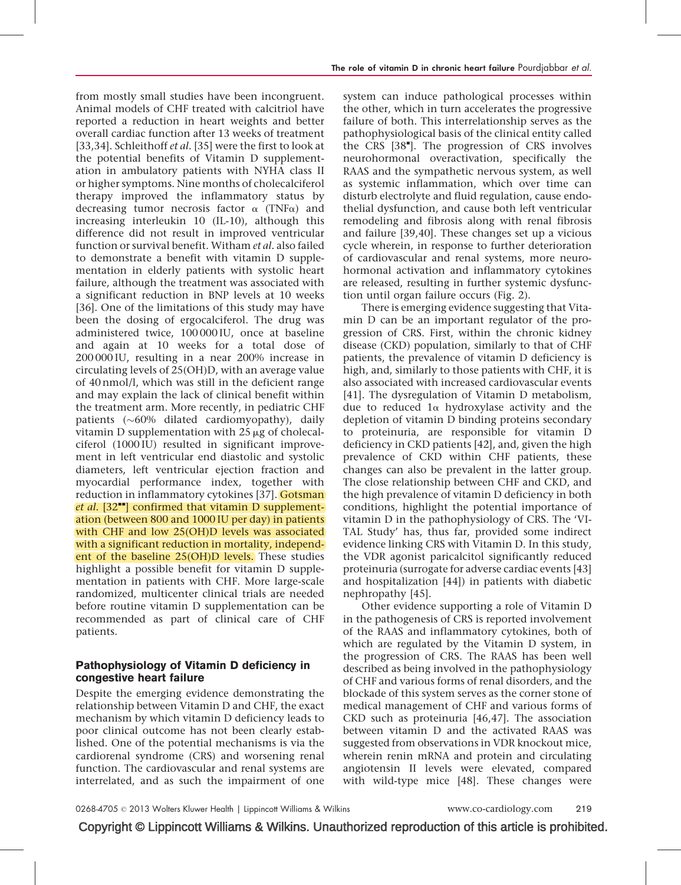from mostly small studies have been incongruent. Animal models of CHF treated with calcitriol have reported a reduction in heart weights and better overall cardiac function after 13 weeks of treatment [\[33,34\]](#page-6-0). Schleithoff *et al.* [\[35\]](#page-6-0) were the first to look at the potential benefits of Vitamin D supplementation in ambulatory patients with NYHA class II or higher symptoms. Nine months of cholecalciferol therapy improved the inflammatory status by decreasing tumor necrosis factor  $\alpha$  (TNF $\alpha$ ) and increasing interleukin 10 (IL-10), although this difference did not result in improved ventricular function or survival benefit. Witham et al. also failed to demonstrate a benefit with vitamin D supplementation in elderly patients with systolic heart failure, although the treatment was associated with a significant reduction in BNP levels at 10 weeks [\[36\].](#page-6-0) One of the limitations of this study may have been the dosing of ergocalciferol. The drug was administered twice, 100 000 IU, once at baseline and again at 10 weeks for a total dose of 200 000 IU, resulting in a near 200% increase in circulating levels of 25(OH)D, with an average value of 40 nmol/l, which was still in the deficient range and may explain the lack of clinical benefit within the treatment arm. More recently, in pediatric CHF patients  $(\sim 60\%$  dilated cardiomyopathy), daily vitamin D supplementation with  $25 \mu g$  of cholecalciferol (1000 IU) resulted in significant improvement in left ventricular end diastolic and systolic diameters, left ventricular ejection fraction and myocardial performance index, together with reduction in inflammatory cytokines [\[37\].](#page-6-0) Gotsman *et al.*  $[32$ <sup> $\text{--}$ </sup> confirmed that vitamin D supplementation (between 800 and 1000 IU per day) in patients with CHF and low 25(OH)D levels was associated with a significant reduction in mortality, independent of the baseline 25(OH)D levels. These studies highlight a possible benefit for vitamin D supplementation in patients with CHF. More large-scale randomized, multicenter clinical trials are needed before routine vitamin D supplementation can be recommended as part of clinical care of CHF patients.

# Pathophysiology of Vitamin D deficiency in congestive heart failure

Despite the emerging evidence demonstrating the relationship between Vitamin D and CHF, the exact mechanism by which vitamin D deficiency leads to poor clinical outcome has not been clearly established. One of the potential mechanisms is via the cardiorenal syndrome (CRS) and worsening renal function. The cardiovascular and renal systems are interrelated, and as such the impairment of one

system can induce pathological processes within the other, which in turn accelerates the progressive failure of both. This interrelationship serves as the pathophysiological basis of the clinical entity called the CRS [\[38](#page-6-0)"[\].](#page-6-0) The progression of CRS involves neurohormonal overactivation, specifically the RAAS and the sympathetic nervous system, as well as systemic inflammation, which over time can disturb electrolyte and fluid regulation, cause endothelial dysfunction, and cause both left ventricular remodeling and fibrosis along with renal fibrosis and failure [\[39,40\].](#page-6-0) These changes set up a vicious cycle wherein, in response to further deterioration of cardiovascular and renal systems, more neurohormonal activation and inflammatory cytokines are released, resulting in further systemic dysfunction until organ failure occurs (Fig. 2).

There is emerging evidence suggesting that Vitamin D can be an important regulator of the progression of CRS. First, within the chronic kidney disease (CKD) population, similarly to that of CHF patients, the prevalence of vitamin D deficiency is high, and, similarly to those patients with CHF, it is also associated with increased cardiovascular events [\[41\].](#page-6-0) The dysregulation of Vitamin D metabolism, due to reduced  $1\alpha$  hydroxylase activity and the depletion of vitamin D binding proteins secondary to proteinuria, are responsible for vitamin D deficiency in CKD patients [\[42\],](#page-6-0) and, given the high prevalence of CKD within CHF patients, these changes can also be prevalent in the latter group. The close relationship between CHF and CKD, and the high prevalence of vitamin D deficiency in both conditions, highlight the potential importance of vitamin D in the pathophysiology of CRS. The 'VI-TAL Study' has, thus far, provided some indirect evidence linking CRS with Vitamin D. In this study, the VDR agonist paricalcitol significantly reduced proteinuria (surrogate for adverse cardiac events [\[43\]](#page-6-0) and hospitalization [\[44\]\)](#page-6-0) in patients with diabetic nephropathy [\[45\]](#page-6-0).

Other evidence supporting a role of Vitamin D in the pathogenesis of CRS is reported involvement of the RAAS and inflammatory cytokines, both of which are regulated by the Vitamin D system, in the progression of CRS. The RAAS has been well described as being involved in the pathophysiology of CHF and various forms of renal disorders, and the blockade of this system serves as the corner stone of medical management of CHF and various forms of CKD such as proteinuria [\[46,47\].](#page-6-0) The association between vitamin D and the activated RAAS was suggested from observations in VDR knockout mice, wherein renin mRNA and protein and circulating angiotensin II levels were elevated, compared with wild-type mice [\[48\].](#page-6-0) These changes were

Copyright © Lippincott Williams & Wilkins. Unauthorized reproduction of this article is prohibited.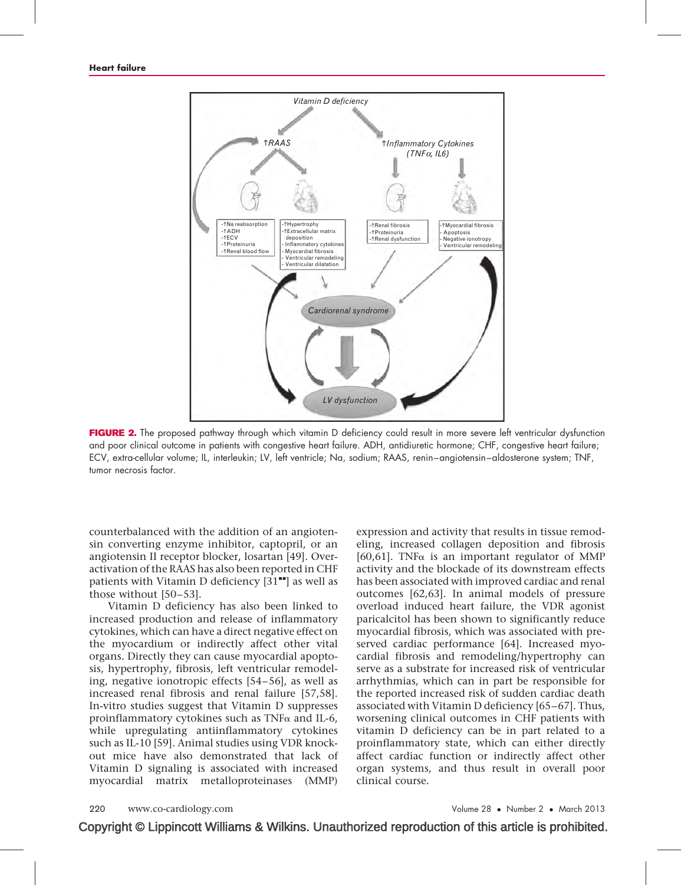

FIGURE 2. The proposed pathway through which vitamin D deficiency could result in more severe left ventricular dysfunction and poor clinical outcome in patients with congestive heart failure. ADH, antidiuretic hormone; CHF, congestive heart failure; ECV, extra-cellular volume; IL, interleukin; LV, left ventricle; Na, sodium; RAAS, renin–angiotensin–aldosterone system; TNF, tumor necrosis factor.

counterbalanced with the addition of an angiotensin converting enzyme inhibitor, captopril, or an angiotensin II receptor blocker, losartan [\[49\]](#page-6-0). Overactivation of the RAAS has also been reported in CHF patients with Vitamin D deficiency  $[31$ <sup>-</sup>[\]](#page-5-0) as well as those without [\[50–53\].](#page-6-0)

Vitamin D deficiency has also been linked to increased production and release of inflammatory cytokines, which can have a direct negative effect on the myocardium or indirectly affect other vital organs. Directly they can cause myocardial apoptosis, hypertrophy, fibrosis, left ventricular remodeling, negative ionotropic effects [\[54–56\]](#page-6-0), as well as increased renal fibrosis and renal failure [\[57,58\].](#page-6-0) In-vitro studies suggest that Vitamin D suppresses proinflammatory cytokines such as  $TNF\alpha$  and IL-6, while upregulating antiinflammatory cytokines such as IL-10 [\[59\].](#page-6-0) Animal studies using VDR knockout mice have also demonstrated that lack of Vitamin D signaling is associated with increased myocardial matrix metalloproteinases (MMP)

expression and activity that results in tissue remodeling, increased collagen deposition and fibrosis [\[60,61\]](#page-6-0). TNF $\alpha$  is an important regulator of MMP activity and the blockade of its downstream effects has been associated with improved cardiac and renal outcomes [\[62,63\]](#page-6-0). In animal models of pressure overload induced heart failure, the VDR agonist paricalcitol has been shown to significantly reduce myocardial fibrosis, which was associated with preserved cardiac performance [\[64\]](#page-6-0). Increased myocardial fibrosis and remodeling/hypertrophy can serve as a substrate for increased risk of ventricular arrhythmias, which can in part be responsible for the reported increased risk of sudden cardiac death associated with Vitamin D deficiency [\[65–67\]](#page-6-0). Thus, worsening clinical outcomes in CHF patients with vitamin D deficiency can be in part related to a proinflammatory state, which can either directly affect cardiac function or indirectly affect other organ systems, and thus result in overall poor clinical course.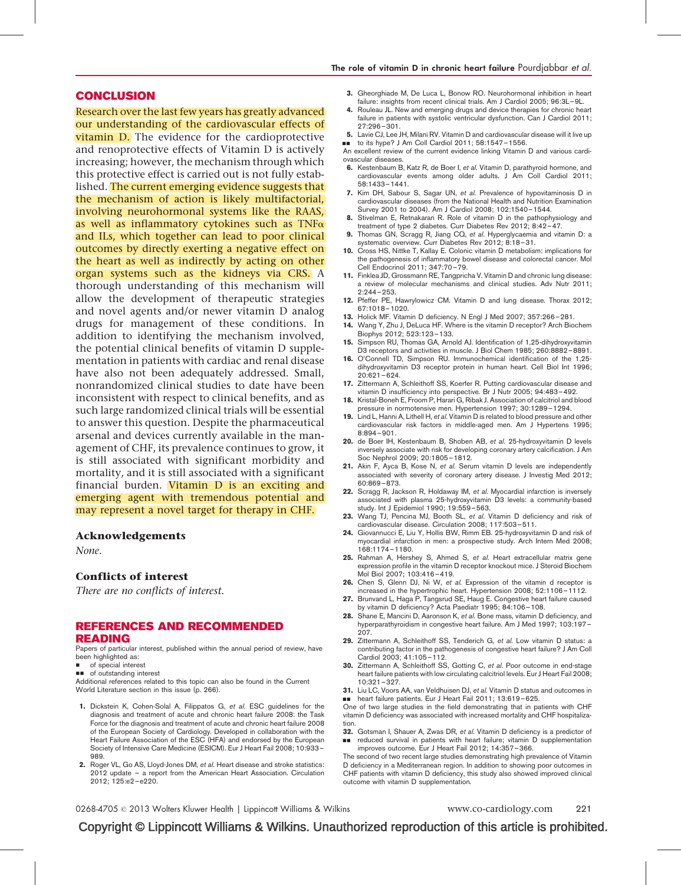<span id="page-5-0"></span>Research over the last few years has greatly advanced our understanding of the cardiovascular effects of vitamin D. The evidence for the cardioprotective and renoprotective effects of Vitamin D is actively increasing; however, the mechanism through which this protective effect is carried out is not fully established. The current emerging evidence suggests that the mechanism of action is likely multifactorial, involving neurohormonal systems like the RAAS, as well as inflammatory cytokines such as  $TNF\alpha$ and ILs, which together can lead to poor clinical outcomes by directly exerting a negative effect on the heart as well as indirectly by acting on other organ systems such as the kidneys via CRS. A thorough understanding of this mechanism will allow the development of therapeutic strategies and novel agents and/or newer vitamin D analog drugs for management of these conditions. In addition to identifying the mechanism involved, the potential clinical benefits of vitamin D supplementation in patients with cardiac and renal disease have also not been adequately addressed. Small, nonrandomized clinical studies to date have been inconsistent with respect to clinical benefits, and as such large randomized clinical trials will be essential to answer this question. Despite the pharmaceutical arsenal and devices currently available in the management of CHF, its prevalence continues to grow, it is still associated with significant morbidity and mortality, and it is still associated with a significant financial burden. Vitamin D is an exciting and emerging agent with tremendous potential and may represent a novel target for therapy in CHF.

#### Acknowledgements

None.

#### Conflicts of interest

There are no conflicts of interest.

### REFERENCES AND RECOMMENDED READING

Papers of particular interest, published within the annual period of review, have been highlighted as:

- of special interest
- $\Box$  of outstanding interest

Additional references related to this topic can also be found in the Current World Literature section in this issue (p. 266).

- 1. Dickstein K, Cohen-Solal A, Filippatos G, et al. ESC guidelines for the diagnosis and treatment of acute and chronic heart failure 2008: the Task Force for the diagnosis and treatment of acute and chronic heart failure 2008 of the European Society of Cardiology. Developed in collaboration with the Heart Failure Association of the ESC (HFA) and endorsed by the European Society of Intensive Care Medicine (ESICM). Eur J Heart Fail 2008; 10:933– 989.
- 2. Roger VL, Go AS, Lloyd-Jones DM, et al. Heart disease and stroke statistics: 2012 update – a report from the American Heart Association. Circulation 2012; 125:e2–e220.
- 3. Gheorghiade M, De Luca L, Bonow RO. Neurohormonal inhibition in heart failure: insights from recent clinical trials. Am J Cardiol 2005; 96:3L–9L.
- 4. Rouleau JL. New and emerging drugs and device therapies for chronic heart failure in patients with systolic ventricular dysfunction. Can J Cardiol 2011; 27:296–301.
- 5. Lavie CJ, Lee JH, Milani RV. Vitamin D and cardiovascular disease will it live up ■■ to its hype? J Am Coll Cardiol 2011; 58:1547-1556.

An excellent review of the current evidence linking Vitamin D and various cardiovascular diseases.

- 6. Kestenbaum B, Katz R, de Boer I, et al. Vitamin D, parathyroid hormone, and cardiovascular events among older adults. J Am Coll Cardiol 2011; 58:1433–1441.
- 7. Kim DH, Sabour S, Sagar UN, et al. Prevalence of hypovitaminosis D in cardiovascular diseases (from the National Health and Nutrition Examination Survey 2001 to 2004). Am J Cardiol 2008; 102:1540–1544.
- 8. Stivelman E, Retnakaran R. Role of vitamin D in the pathophysiology and treatment of type 2 diabetes. Curr Diabetes Rev 2012; 8:42–47.
- 9. Thomas GN, Scragg R, Jiang CO, et al. Hyperglycaemia and vitamin D: a systematic overview. Curr Diabetes Rev 2012; 8:18–31.
- 10. Cross HS, Nittke T, Kallay E. Colonic vitamin D metabolism: implications for the pathogenesis of inflammatory bowel disease and colorectal cancer. Mol Cell Endocrinol 2011; 347:70–79.
- 11. Finklea JD, Grossmann RE, Tangpricha V. Vitamin D and chronic lung disease: a review of molecular mechanisms and clinical studies. Adv Nutr 2011; 2:244–253.
- 12. Pfeffer PE, Hawrylowicz CM. Vitamin D and lung disease. Thorax 2012; 67:1018–1020.
- 13. Holick MF. Vitamin D deficiency. N Engl J Med 2007; 357:266–281.
- 14. Wang Y, Zhu J, DeLuca HF. Where is the vitamin D receptor? Arch Biochem Biophys 2012; 523:123–133.
- 15. Simpson RU, Thomas GA, Arnold AJ. Identification of 1,25-dihydroxyvitamin D3 receptors and activities in muscle. J Biol Chem 1985; 260:8882–8891.
- 16. O'Connell TD, Simpson RU. Immunochemical identification of the 1,25 dihydroxyvitamin D3 receptor protein in human heart. Cell Biol Int 1996; 20:621–624.
- 17. Zittermann A, Schleithoff SS, Koerfer R. Putting cardiovascular disease and vitamin D insufficiency into perspective. Br J Nutr 2005; 94:483–492.
- 18. Kristal-Boneh E, Froom P, Harari G, Ribak J. Association of calcitriol and blood pressure in normotensive men. Hypertension 1997; 30:1289–1294.
- 19. Lind L, Hanni A, Lithell H, et al. Vitamin D is related to blood pressure and other cardiovascular risk factors in middle-aged men. Am J Hypertens 1995; 8:894–901.
- 20. de Boer IH, Kestenbaum B, Shoben AB, et al. 25-hydroxyvitamin D levels inversely associate with risk for developing coronary artery calcification. J Am Soc Nephrol 2009; 20:1805–1812.
- 21. Akin F, Ayca B, Kose N, et al. Serum vitamin D levels are independently associated with severity of coronary artery disease. J Investig Med 2012; 60:869–873.
- 22. Scragg R, Jackson R, Holdaway IM, et al. Myocardial infarction is inversely associated with plasma 25-hydroxyvitamin D3 levels: a community-based study. Int J Epidemiol 1990; 19:559–563.
- 23. Wang TJ, Pencina MJ, Booth SL, et al. Vitamin D deficiency and risk of cardiovascular disease. Circulation 2008; 117:503–511.
- 24. Giovannucci E, Liu Y, Hollis BW, Rimm EB. 25-hydroxyvitamin D and risk of myocardial infarction in men: a prospective study. Arch Intern Med 2008; 168:1174–1180.
- 25. Rahman A, Hershey S, Ahmed S, et al. Heart extracellular matrix gene expression profile in the vitamin D receptor knockout mice. J Steroid Biochem Mol Biol 2007; 103:416–419.
- 26. Chen S, Glenn DJ, Ni W, et al. Expression of the vitamin d receptor is increased in the hypertrophic heart. Hypertension 2008; 52:1106–1112.
- 27. Brunvand L, Haga P, Tangsrud SE, Haug E. Congestive heart failure caused by vitamin D deficiency? Acta Paediatr 1995; 84:106–108.
- 28. Shane E, Mancini D, Aaronson K, et al. Bone mass, vitamin D deficiency, and hyperparathyroidism in congestive heart failure. Am J Med 1997; 103:197– 207.
- 29. Zittermann A, Schleithoff SS, Tenderich G, et al. Low vitamin D status: a contributing factor in the pathogenesis of congestive heart failure? J Am Coll Cardiol 2003; 41:105–112.
- 30. Zittermann A, Schleithoff SS, Gotting C, et al. Poor outcome in end-stage heart failure patients with low circulating calcitriol levels. Eur J Heart Fail 2008; 10:321–327.
- 31. Liu LC, Voors AA, van Veldhuisen DJ, et al. Vitamin D status and outcomes in **BE** heart failure patients. Eur J Heart Fail 2011; 13:619-625.

One of two large studies in the field demonstrating that in patients with CHF vitamin D deficiency was associated with increased mortality and CHF hospitalization.

32. Gotsman I, Shauer A, Zwas DR, et al. Vitamin D deficiency is a predictor of && reduced survival in patients with heart failure; vitamin D supplementation improves outcome. Eur J Heart Fail 2012; 14:357–366.

The second of two recent large studies demonstrating high prevalence of Vitamin D deficiency in a Mediterranean region. In addition to showing poor outcomes in CHF patients with vitamin D deficiency, this study also showed improved clinical outcome with vitamin D supplementation.

0268-4705 © 2013 Wolters Kluwer Health | Lippincott Williams & Wilkins www.co-cardiology.com 221

# Copyright © Lippincott Williams & Wilkins. Unauthorized reproduction of this article is prohibited.